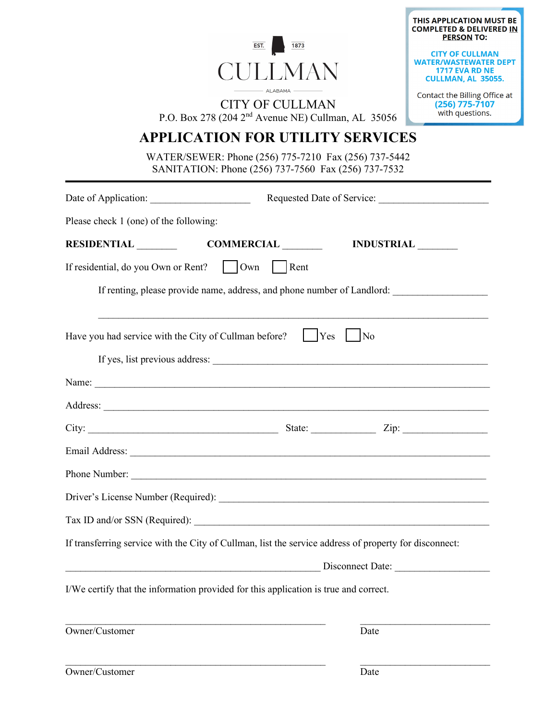|                                                                                                             | THIS APPLICATION MUST BE<br><b>COMPLETED &amp; DELIVERED IN</b><br><b>PERSON TO:</b>           |
|-------------------------------------------------------------------------------------------------------------|------------------------------------------------------------------------------------------------|
| EST.<br>1873<br><b>CULLMAN</b>                                                                              | <b>CITY OF CULLMAN</b><br><b>WATER/WASTEWATER DEPT</b><br>1717 EVA RD NE<br>CULLMAN, AL 35055. |
| $-$ ALABAMA $-$<br><b>CITY OF CULLMAN</b><br>P.O. Box 278 (204 2 <sup>nd</sup> Avenue NE) Cullman, AL 35056 | Contact the Billing Office at<br>$(256)$ 775-7107<br>with questions.                           |
| <b>APPLICATION FOR UTILITY SERVICES</b>                                                                     |                                                                                                |
| WATER/SEWER: Phone (256) 775-7210 Fax (256) 737-5442<br>SANITATION: Phone (256) 737-7560 Fax (256) 737-7532 |                                                                                                |
|                                                                                                             |                                                                                                |
| Please check 1 (one) of the following:                                                                      |                                                                                                |
| RESIDENTIAL COMMERCIAL INDUSTRIAL                                                                           |                                                                                                |
| If residential, do you Own or Rent?     Own   Rent                                                          |                                                                                                |
| If renting, please provide name, address, and phone number of Landlord:                                     |                                                                                                |
| Have you had service with the City of Cullman before? [Place Yes]<br> No                                    |                                                                                                |
|                                                                                                             |                                                                                                |
| Address:                                                                                                    |                                                                                                |
|                                                                                                             |                                                                                                |
|                                                                                                             |                                                                                                |
|                                                                                                             |                                                                                                |
|                                                                                                             |                                                                                                |
|                                                                                                             |                                                                                                |
| If transferring service with the City of Cullman, list the service address of property for disconnect:      |                                                                                                |
|                                                                                                             |                                                                                                |
| I/We certify that the information provided for this application is true and correct.                        |                                                                                                |
| Owner/Customer<br>Date                                                                                      |                                                                                                |
|                                                                                                             |                                                                                                |

| Owner/Customer | Date |
|----------------|------|
|----------------|------|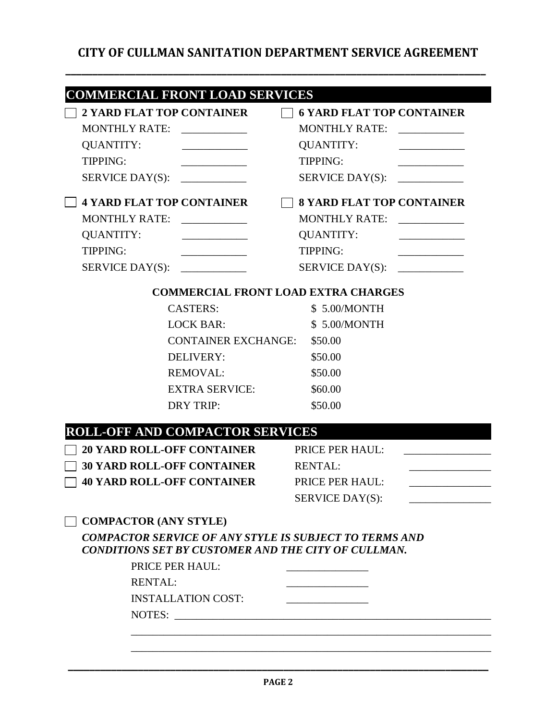## **CITY OF CULLMAN SANITATION DEPARTMENT SERVICE AGREEMENT**

| <b>COMMERCIAL FRONT LOAD SERVICES</b><br><b>2 YARD FLAT TOP CONTAINER</b>                                            | <b>6 YARD FLAT TOP CONTAINER</b>                                                                                      |
|----------------------------------------------------------------------------------------------------------------------|-----------------------------------------------------------------------------------------------------------------------|
| <b>MONTHLY RATE:</b>                                                                                                 | <b>MONTHLY RATE:</b>                                                                                                  |
| <b>QUANTITY:</b>                                                                                                     | <b>QUANTITY:</b>                                                                                                      |
| <b>TIPPING:</b>                                                                                                      | <b>TIPPING:</b>                                                                                                       |
| SERVICE DAY(S):                                                                                                      | SERVICE DAY(S):                                                                                                       |
| <b>4 YARD FLAT TOP CONTAINER</b>                                                                                     | <b>8 YARD FLAT TOP CONTAINER</b>                                                                                      |
| MONTHLY RATE: ____________                                                                                           | MONTHLY RATE: ______________                                                                                          |
| <b>QUANTITY:</b><br><u> 1990 - Johann Barbara, martin a</u>                                                          | QUANTITY:<br><u> 1989 - Johann Barbara, martin a</u>                                                                  |
| <b>TIPPING:</b><br><u> 1989 - Johann Barbara, martin a</u>                                                           | TIPPING:<br>$\overline{\phantom{a}}$ . The contract of $\overline{\phantom{a}}$                                       |
|                                                                                                                      |                                                                                                                       |
|                                                                                                                      | <b>COMMERCIAL FRONT LOAD EXTRA CHARGES</b>                                                                            |
| <b>CASTERS:</b>                                                                                                      | \$5.00/MONTH                                                                                                          |
| <b>LOCK BAR:</b>                                                                                                     | \$ 5.00/MONTH                                                                                                         |
| <b>CONTAINER EXCHANGE: \$50.00</b>                                                                                   |                                                                                                                       |
| DELIVERY:                                                                                                            | \$50.00                                                                                                               |
| <b>REMOVAL:</b>                                                                                                      | \$50.00                                                                                                               |
| <b>EXTRA SERVICE:</b>                                                                                                | \$60.00                                                                                                               |
| <b>DRY TRIP:</b>                                                                                                     | \$50.00                                                                                                               |
| <b>ROLL-OFF AND COMPACTOR SERVICES</b>                                                                               |                                                                                                                       |
| <b>20 YARD ROLL-OFF CONTAINER</b>                                                                                    | PRICE PER HAUL:                                                                                                       |
| <b>30 YARD ROLL-OFF CONTAINER</b>                                                                                    | <b>RENTAL:</b>                                                                                                        |
| <b>40 YARD ROLL-OFF CONTAINER</b>                                                                                    | PRICE PER HAUL:                                                                                                       |
|                                                                                                                      | SERVICE DAY(S):                                                                                                       |
| <b>COMPACTOR (ANY STYLE)</b>                                                                                         |                                                                                                                       |
| <b>COMPACTOR SERVICE OF ANY STYLE IS SUBJECT TO TERMS AND</b><br>CONDITIONS SET BY CUSTOMER AND THE CITY OF CULLMAN. |                                                                                                                       |
| PRICE PER HAUL:                                                                                                      |                                                                                                                       |
| <b>RENTAL:</b>                                                                                                       |                                                                                                                       |
| <b>INSTALLATION COST:</b>                                                                                            |                                                                                                                       |
| NOTES:                                                                                                               | <u> 1980 - Jan Barbara, martin a shekara 1980 - An tsara 1980 - An tsara 1980 - An tsara 1980 - An tsara 1980 - A</u> |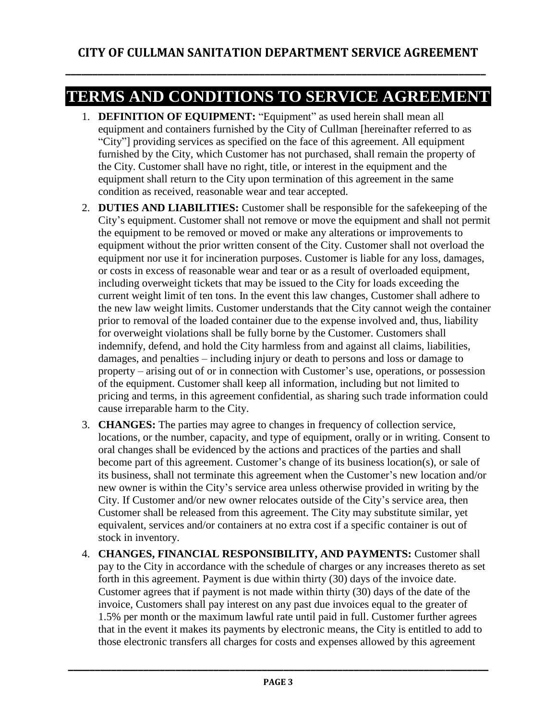**\_\_\_\_\_\_\_\_\_\_\_\_\_\_\_\_\_\_\_\_\_\_\_\_\_\_\_\_\_\_\_\_\_\_\_\_\_\_\_\_\_\_\_\_\_\_\_\_\_\_\_\_\_\_\_\_\_\_\_\_\_\_\_\_\_\_\_\_\_\_\_\_\_\_\_\_\_\_**

## **TERMS AND CONDITIONS TO SERVICE AGREEMENT**

- 1. **DEFINITION OF EQUIPMENT:** "Equipment" as used herein shall mean all equipment and containers furnished by the City of Cullman [hereinafter referred to as "City"] providing services as specified on the face of this agreement. All equipment furnished by the City, which Customer has not purchased, shall remain the property of the City. Customer shall have no right, title, or interest in the equipment and the equipment shall return to the City upon termination of this agreement in the same condition as received, reasonable wear and tear accepted.
- 2. **DUTIES AND LIABILITIES:** Customer shall be responsible for the safekeeping of the City's equipment. Customer shall not remove or move the equipment and shall not permit the equipment to be removed or moved or make any alterations or improvements to equipment without the prior written consent of the City. Customer shall not overload the equipment nor use it for incineration purposes. Customer is liable for any loss, damages, or costs in excess of reasonable wear and tear or as a result of overloaded equipment, including overweight tickets that may be issued to the City for loads exceeding the current weight limit of ten tons. In the event this law changes, Customer shall adhere to the new law weight limits. Customer understands that the City cannot weigh the container prior to removal of the loaded container due to the expense involved and, thus, liability for overweight violations shall be fully borne by the Customer. Customers shall indemnify, defend, and hold the City harmless from and against all claims, liabilities, damages, and penalties – including injury or death to persons and loss or damage to property – arising out of or in connection with Customer's use, operations, or possession of the equipment. Customer shall keep all information, including but not limited to pricing and terms, in this agreement confidential, as sharing such trade information could cause irreparable harm to the City.
- 3. **CHANGES:** The parties may agree to changes in frequency of collection service, locations, or the number, capacity, and type of equipment, orally or in writing. Consent to oral changes shall be evidenced by the actions and practices of the parties and shall become part of this agreement. Customer's change of its business location(s), or sale of its business, shall not terminate this agreement when the Customer's new location and/or new owner is within the City's service area unless otherwise provided in writing by the City. If Customer and/or new owner relocates outside of the City's service area, then Customer shall be released from this agreement. The City may substitute similar, yet equivalent, services and/or containers at no extra cost if a specific container is out of stock in inventory.
- 4. **CHANGES, FINANCIAL RESPONSIBILITY, AND PAYMENTS:** Customer shall pay to the City in accordance with the schedule of charges or any increases thereto as set forth in this agreement. Payment is due within thirty (30) days of the invoice date. Customer agrees that if payment is not made within thirty (30) days of the date of the invoice, Customers shall pay interest on any past due invoices equal to the greater of 1.5% per month or the maximum lawful rate until paid in full. Customer further agrees that in the event it makes its payments by electronic means, the City is entitled to add to those electronic transfers all charges for costs and expenses allowed by this agreement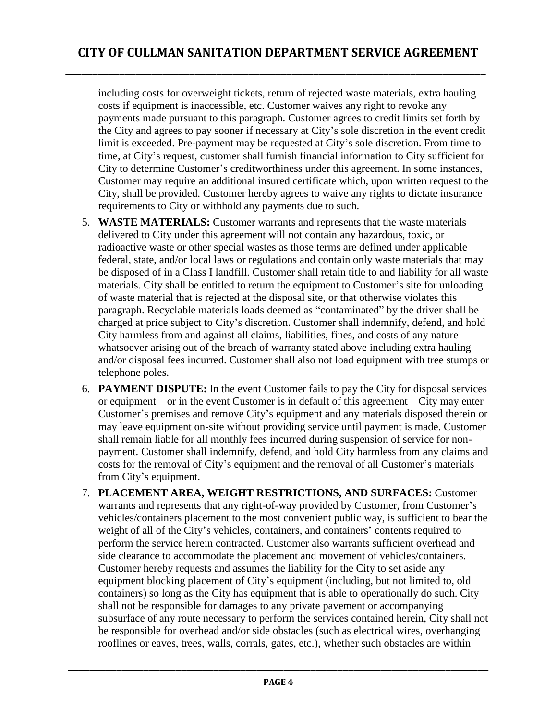including costs for overweight tickets, return of rejected waste materials, extra hauling costs if equipment is inaccessible, etc. Customer waives any right to revoke any payments made pursuant to this paragraph. Customer agrees to credit limits set forth by the City and agrees to pay sooner if necessary at City's sole discretion in the event credit limit is exceeded. Pre-payment may be requested at City's sole discretion. From time to time, at City's request, customer shall furnish financial information to City sufficient for City to determine Customer's creditworthiness under this agreement. In some instances, Customer may require an additional insured certificate which, upon written request to the City, shall be provided. Customer hereby agrees to waive any rights to dictate insurance requirements to City or withhold any payments due to such.

- 5. **WASTE MATERIALS:** Customer warrants and represents that the waste materials delivered to City under this agreement will not contain any hazardous, toxic, or radioactive waste or other special wastes as those terms are defined under applicable federal, state, and/or local laws or regulations and contain only waste materials that may be disposed of in a Class I landfill. Customer shall retain title to and liability for all waste materials. City shall be entitled to return the equipment to Customer's site for unloading of waste material that is rejected at the disposal site, or that otherwise violates this paragraph. Recyclable materials loads deemed as "contaminated" by the driver shall be charged at price subject to City's discretion. Customer shall indemnify, defend, and hold City harmless from and against all claims, liabilities, fines, and costs of any nature whatsoever arising out of the breach of warranty stated above including extra hauling and/or disposal fees incurred. Customer shall also not load equipment with tree stumps or telephone poles.
- 6. **PAYMENT DISPUTE:** In the event Customer fails to pay the City for disposal services or equipment – or in the event Customer is in default of this agreement – City may enter Customer's premises and remove City's equipment and any materials disposed therein or may leave equipment on-site without providing service until payment is made. Customer shall remain liable for all monthly fees incurred during suspension of service for nonpayment. Customer shall indemnify, defend, and hold City harmless from any claims and costs for the removal of City's equipment and the removal of all Customer's materials from City's equipment.
- 7. **PLACEMENT AREA, WEIGHT RESTRICTIONS, AND SURFACES:** Customer warrants and represents that any right-of-way provided by Customer, from Customer's vehicles/containers placement to the most convenient public way, is sufficient to bear the weight of all of the City's vehicles, containers, and containers' contents required to perform the service herein contracted. Customer also warrants sufficient overhead and side clearance to accommodate the placement and movement of vehicles/containers. Customer hereby requests and assumes the liability for the City to set aside any equipment blocking placement of City's equipment (including, but not limited to, old containers) so long as the City has equipment that is able to operationally do such. City shall not be responsible for damages to any private pavement or accompanying subsurface of any route necessary to perform the services contained herein, City shall not be responsible for overhead and/or side obstacles (such as electrical wires, overhanging rooflines or eaves, trees, walls, corrals, gates, etc.), whether such obstacles are within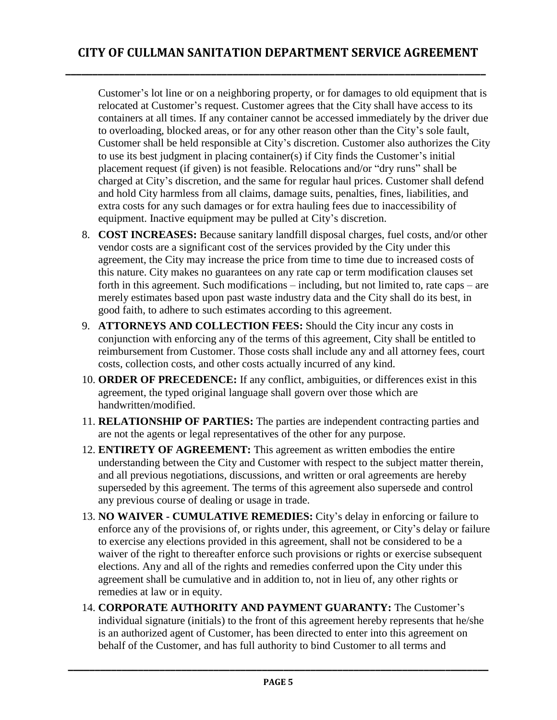Customer's lot line or on a neighboring property, or for damages to old equipment that is relocated at Customer's request. Customer agrees that the City shall have access to its containers at all times. If any container cannot be accessed immediately by the driver due to overloading, blocked areas, or for any other reason other than the City's sole fault, Customer shall be held responsible at City's discretion. Customer also authorizes the City to use its best judgment in placing container(s) if City finds the Customer's initial placement request (if given) is not feasible. Relocations and/or "dry runs" shall be charged at City's discretion, and the same for regular haul prices. Customer shall defend and hold City harmless from all claims, damage suits, penalties, fines, liabilities, and extra costs for any such damages or for extra hauling fees due to inaccessibility of equipment. Inactive equipment may be pulled at City's discretion.

- 8. **COST INCREASES:** Because sanitary landfill disposal charges, fuel costs, and/or other vendor costs are a significant cost of the services provided by the City under this agreement, the City may increase the price from time to time due to increased costs of this nature. City makes no guarantees on any rate cap or term modification clauses set forth in this agreement. Such modifications – including, but not limited to, rate caps – are merely estimates based upon past waste industry data and the City shall do its best, in good faith, to adhere to such estimates according to this agreement.
- 9. **ATTORNEYS AND COLLECTION FEES:** Should the City incur any costs in conjunction with enforcing any of the terms of this agreement, City shall be entitled to reimbursement from Customer. Those costs shall include any and all attorney fees, court costs, collection costs, and other costs actually incurred of any kind.
- 10. **ORDER OF PRECEDENCE:** If any conflict, ambiguities, or differences exist in this agreement, the typed original language shall govern over those which are handwritten/modified.
- 11. **RELATIONSHIP OF PARTIES:** The parties are independent contracting parties and are not the agents or legal representatives of the other for any purpose.
- 12. **ENTIRETY OF AGREEMENT:** This agreement as written embodies the entire understanding between the City and Customer with respect to the subject matter therein, and all previous negotiations, discussions, and written or oral agreements are hereby superseded by this agreement. The terms of this agreement also supersede and control any previous course of dealing or usage in trade.
- 13. **NO WAIVER - CUMULATIVE REMEDIES:** City's delay in enforcing or failure to enforce any of the provisions of, or rights under, this agreement, or City's delay or failure to exercise any elections provided in this agreement, shall not be considered to be a waiver of the right to thereafter enforce such provisions or rights or exercise subsequent elections. Any and all of the rights and remedies conferred upon the City under this agreement shall be cumulative and in addition to, not in lieu of, any other rights or remedies at law or in equity.
- 14. **CORPORATE AUTHORITY AND PAYMENT GUARANTY:** The Customer's individual signature (initials) to the front of this agreement hereby represents that he/she is an authorized agent of Customer, has been directed to enter into this agreement on behalf of the Customer, and has full authority to bind Customer to all terms and